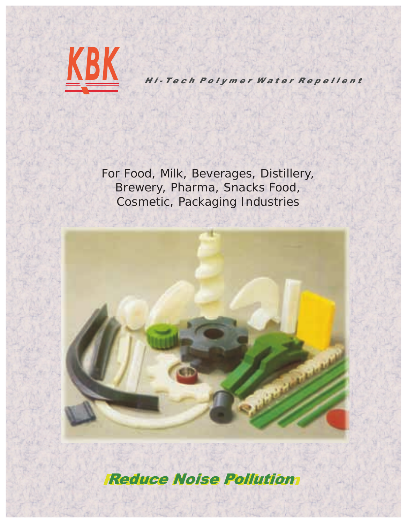

For Food, Milk, Beverages, Distillery, Brewery, Pharma, Snacks Food, Cosmetic, Packaging Industries



**Reduce Noise Pollution Reduce Noise Pollution**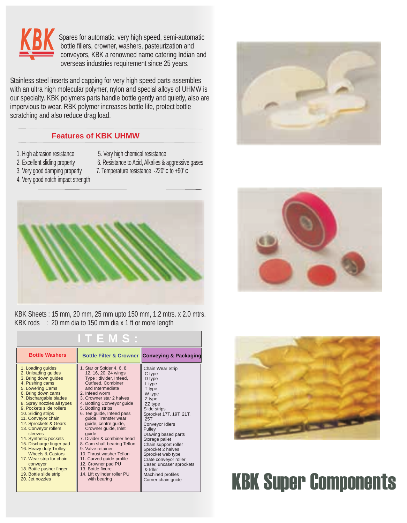

 Spares for automatic, very high speed, semi-automatic bottle fillers, crowner, washers, pasteurization and conveyors, KBK a renowned name catering Indian and overseas industries requirement since 25 years.

 Stainless steel inserts and capping for very high speed parts assembles with an ultra high molecular polymer, nylon and special alloys of UHMW is our specialty. KBK polymers parts handle bottle gently and quietly, also are impervious to wear. RBK polymer increases bottle life, protect bottle scratching and also reduce drag load.

### **Features of KBK UHMW**

- 1. High abrasion resistance 5. Very high chemical resistance
	-
- 
- 2. Excellent sliding property 6. Resistance to Acid, Alkalies & aggressive gases
- **0 0** 3. Very good damping property 7. Temperature resistance -220 **<sup>C</sup>** to +90 **<sup>C</sup>**
- 4. Very good notch impact strength





KBK Sheets : 15 mm, 20 mm, 25 mm upto 150 mm, 1.2 mtrs. x 2.0 mtrs. KBK rods : 20 mm dia to 150 mm dia x 1 ft or more length

| TEMS:                                                                                                                                                                                                                                                                                                                                                                                                                                                                                                                                                    |                                                                                                                                                                                                                                                                                                                                                                                                                                                                                                                                                                           |                                                                                                                                                                                                                                                                                                                                                                                                            |
|----------------------------------------------------------------------------------------------------------------------------------------------------------------------------------------------------------------------------------------------------------------------------------------------------------------------------------------------------------------------------------------------------------------------------------------------------------------------------------------------------------------------------------------------------------|---------------------------------------------------------------------------------------------------------------------------------------------------------------------------------------------------------------------------------------------------------------------------------------------------------------------------------------------------------------------------------------------------------------------------------------------------------------------------------------------------------------------------------------------------------------------------|------------------------------------------------------------------------------------------------------------------------------------------------------------------------------------------------------------------------------------------------------------------------------------------------------------------------------------------------------------------------------------------------------------|
| <b>Bottle Washers</b>                                                                                                                                                                                                                                                                                                                                                                                                                                                                                                                                    |                                                                                                                                                                                                                                                                                                                                                                                                                                                                                                                                                                           | Bottle Filter & Crowner Conveying & Packaging                                                                                                                                                                                                                                                                                                                                                              |
| 1. Loading guides<br>2. Unloading guides<br>3. Bring down guides<br>4. Pushing cams<br>5. Lowering Cams<br>6. Bring down cams<br>7. Dischargable blades<br>8. Spray nozzles all types<br>9. Pockets slide rollers<br>10. Sliding strips<br>11. Conveyor chain<br>12. Sprockets & Gears<br>13. Conveyor rollers<br>sleeves<br>14. Synthetic pockets<br>15. Discharge finger pad<br>16. Heavy duty Trolley<br><b>Wheels &amp; Castors</b><br>17. Wear strip for chain<br>conveyor<br>18. Bottle pusher finger<br>19. Bottle slide strip<br>20. Jet nozzles | 1. Star or Spider 4, 6, 8,<br>12, 16, 20, 24 wings<br>Type: divider, Infeed,<br>Outfeed, Combiner<br>and Intermediate<br>2. Infeed worm<br>3. Crowner star 2 halves<br>4. Bottling Conveyor guide<br>5. Bottling strips<br>6. Tee guide, Infeed pass<br>quide, Transfer wear<br>guide, centre guide,<br>Crowner quide, Inlet<br>quide<br>7. Divider & combiner head<br>8. Cam shaft bearing Teflon<br>9. Valve retainer<br>10. Thrust washer Teflon<br>11. Curved guide profile<br>12. Crowner pad PU<br>13. Bottle fixure<br>14. Lift cylinder roller PU<br>with bearing | <b>Chain Wear Strip</b><br>C type<br>D type<br>L type<br>T type<br>W type<br>Z type<br>ZZ type<br>Slide strips<br>Sprocket 17T, 19T, 21T,<br>25T<br>Conveyor Idlers<br>Pullev<br>Drawing based parts<br>Storage pallet<br>Chain support roller<br>Sprocket 2 halves<br>Sprocket web type<br>Crate conveyor roller<br>Caser, uncaser sprockets<br>& Idler<br><b>Machined profiles</b><br>Corner chain guide |



## KBK Super Components

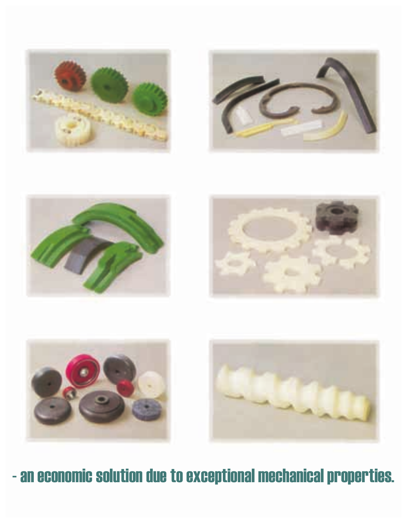











### - an economic solution due to exceptional mechanical properties.